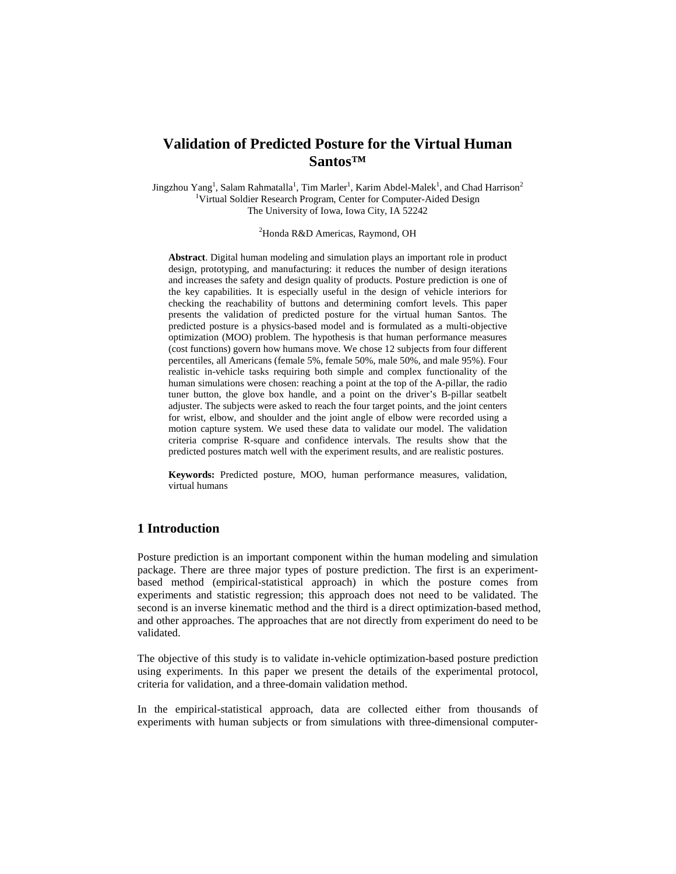# **Validation of Predicted Posture for the Virtual Human Santos™**

Jingzhou Yang<sup>1</sup>, Salam Rahmatalla<sup>1</sup>, Tim Marler<sup>1</sup>, Karim Abdel-Malek<sup>1</sup>, and Chad Harrison<sup>2</sup> <sup>1</sup>Virtual Soldier Research Program, Center for Computer-Aided Design The University of Iowa, Iowa City, IA 52242

<sup>2</sup>Honda R&D Americas, Raymond, OH

**Abstract**. Digital human modeling and simulation plays an important role in product design, prototyping, and manufacturing: it reduces the number of design iterations and increases the safety and design quality of products. Posture prediction is one of the key capabilities. It is especially useful in the design of vehicle interiors for checking the reachability of buttons and determining comfort levels. This paper presents the validation of predicted posture for the virtual human Santos. The predicted posture is a physics-based model and is formulated as a multi-objective optimization (MOO) problem. The hypothesis is that human performance measures (cost functions) govern how humans move. We chose 12 subjects from four different percentiles, all Americans (female 5%, female 50%, male 50%, and male 95%). Four realistic in-vehicle tasks requiring both simple and complex functionality of the human simulations were chosen: reaching a point at the top of the A-pillar, the radio tuner button, the glove box handle, and a point on the driver's B-pillar seatbelt adjuster. The subjects were asked to reach the four target points, and the joint centers for wrist, elbow, and shoulder and the joint angle of elbow were recorded using a motion capture system. We used these data to validate our model. The validation criteria comprise R-square and confidence intervals. The results show that the predicted postures match well with the experiment results, and are realistic postures.

**Keywords:** Predicted posture, MOO, human performance measures, validation, virtual humans

### **1 Introduction**

Posture prediction is an important component within the human modeling and simulation package. There are three major types of posture prediction. The first is an experimentbased method (empirical-statistical approach) in which the posture comes from experiments and statistic regression; this approach does not need to be validated. The second is an inverse kinematic method and the third is a direct optimization-based method, and other approaches. The approaches that are not directly from experiment do need to be validated.

The objective of this study is to validate in-vehicle optimization-based posture prediction using experiments. In this paper we present the details of the experimental protocol, criteria for validation, and a three-domain validation method.

In the empirical-statistical approach, data are collected either from thousands of experiments with human subjects or from simulations with three-dimensional computer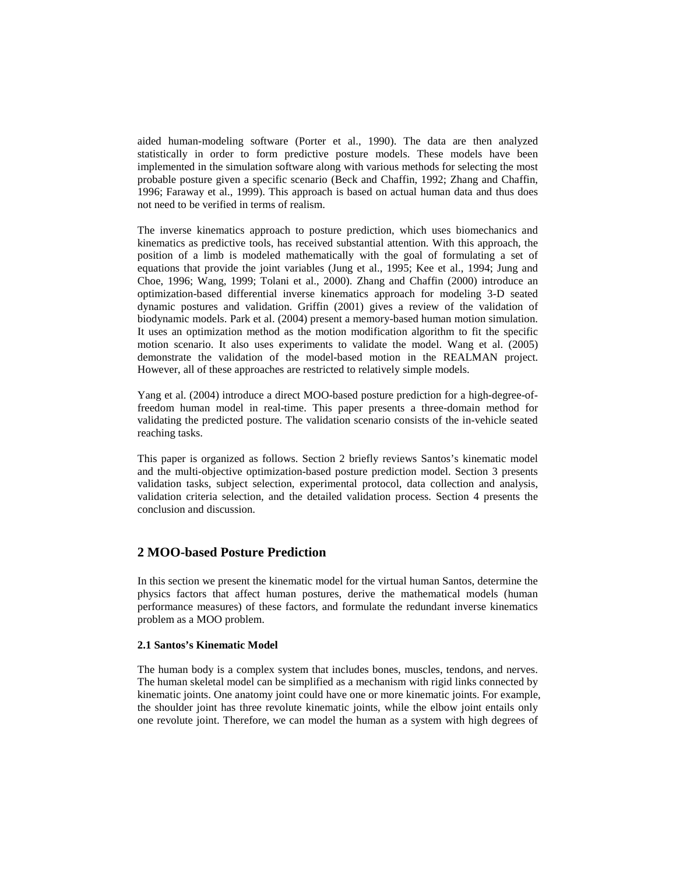aided human-modeling software (Porter et al., 1990). The data are then analyzed statistically in order to form predictive posture models. These models have been implemented in the simulation software along with various methods for selecting the most probable posture given a specific scenario (Beck and Chaffin, 1992; Zhang and Chaffin, 1996; Faraway et al., 1999). This approach is based on actual human data and thus does not need to be verified in terms of realism.

The inverse kinematics approach to posture prediction, which uses biomechanics and kinematics as predictive tools, has received substantial attention. With this approach, the position of a limb is modeled mathematically with the goal of formulating a set of equations that provide the joint variables (Jung et al., 1995; Kee et al., 1994; Jung and Choe, 1996; Wang, 1999; Tolani et al., 2000). Zhang and Chaffin (2000) introduce an optimization-based differential inverse kinematics approach for modeling 3-D seated dynamic postures and validation. Griffin (2001) gives a review of the validation of biodynamic models. Park et al. (2004) present a memory-based human motion simulation. It uses an optimization method as the motion modification algorithm to fit the specific motion scenario. It also uses experiments to validate the model. Wang et al. (2005) demonstrate the validation of the model-based motion in the REALMAN project. However, all of these approaches are restricted to relatively simple models.

Yang et al. (2004) introduce a direct MOO-based posture prediction for a high-degree-offreedom human model in real-time. This paper presents a three-domain method for validating the predicted posture. The validation scenario consists of the in-vehicle seated reaching tasks.

This paper is organized as follows. Section 2 briefly reviews Santos's kinematic model and the multi-objective optimization-based posture prediction model. Section 3 presents validation tasks, subject selection, experimental protocol, data collection and analysis, validation criteria selection, and the detailed validation process. Section 4 presents the conclusion and discussion.

# **2 MOO-based Posture Prediction**

In this section we present the kinematic model for the virtual human Santos, determine the physics factors that affect human postures, derive the mathematical models (human performance measures) of these factors, and formulate the redundant inverse kinematics problem as a MOO problem.

#### **2.1 Santos's Kinematic Model**

The human body is a complex system that includes bones, muscles, tendons, and nerves. The human skeletal model can be simplified as a mechanism with rigid links connected by kinematic joints. One anatomy joint could have one or more kinematic joints. For example, the shoulder joint has three revolute kinematic joints, while the elbow joint entails only one revolute joint. Therefore, we can model the human as a system with high degrees of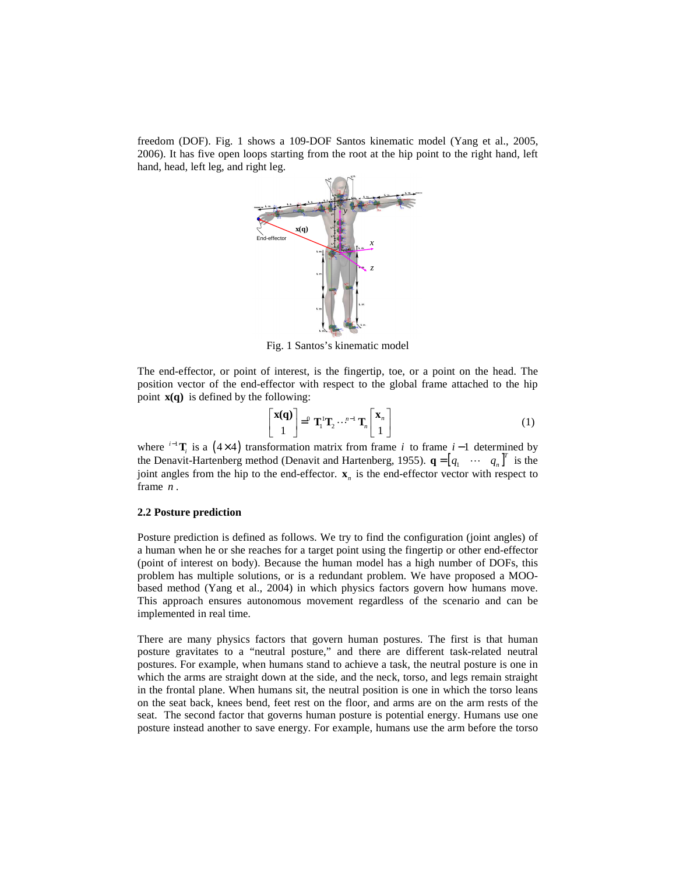freedom (DOF). Fig. 1 shows a 109-DOF Santos kinematic model (Yang et al., 2005, 2006). It has five open loops starting from the root at the hip point to the right hand, left hand, head, left leg, and right leg.



Fig. 1 Santos's kinematic model

The end-effector, or point of interest, is the fingertip, toe, or a point on the head. The position vector of the end-effector with respect to the global frame attached to the hip point  $\mathbf{x}(\mathbf{q})$  is defined by the following:

$$
\begin{bmatrix} \mathbf{x}(\mathbf{q}) \\ 1 \end{bmatrix} = \mathbf{q}_1^1 \mathbf{T}_2 \cdots \mathbf{q}_n \begin{bmatrix} \mathbf{x}_n \\ 1 \end{bmatrix} \tag{1}
$$

where  $i^{-1}$ **T**<sub>*i*</sub> is a (4×4) transformation matrix from frame *i* to frame  $i-1$  determined by the Denavit-Hartenberg method (Denavit and Hartenberg, 1955).  $\mathbf{q} = \begin{bmatrix} q_1 & \cdots & q_n \end{bmatrix}^T$  is the joint angles from the hip to the end-effector.  $\mathbf{x}_n$  is the end-effector vector with respect to frame *n* .

#### **2.2 Posture prediction**

Posture prediction is defined as follows. We try to find the configuration (joint angles) of a human when he or she reaches for a target point using the fingertip or other end-effector (point of interest on body). Because the human model has a high number of DOFs, this problem has multiple solutions, or is a redundant problem. We have proposed a MOObased method (Yang et al., 2004) in which physics factors govern how humans move. This approach ensures autonomous movement regardless of the scenario and can be implemented in real time.

There are many physics factors that govern human postures. The first is that human posture gravitates to a "neutral posture," and there are different task-related neutral postures. For example, when humans stand to achieve a task, the neutral posture is one in which the arms are straight down at the side, and the neck, torso, and legs remain straight in the frontal plane. When humans sit, the neutral position is one in which the torso leans on the seat back, knees bend, feet rest on the floor, and arms are on the arm rests of the seat. The second factor that governs human posture is potential energy. Humans use one posture instead another to save energy. For example, humans use the arm before the torso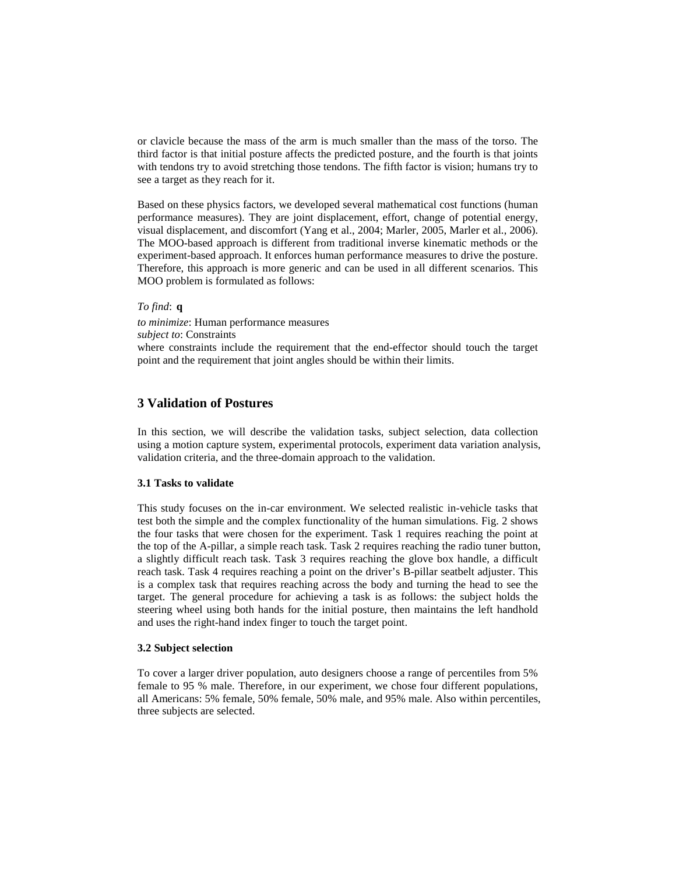or clavicle because the mass of the arm is much smaller than the mass of the torso. The third factor is that initial posture affects the predicted posture, and the fourth is that joints with tendons try to avoid stretching those tendons. The fifth factor is vision; humans try to see a target as they reach for it.

Based on these physics factors, we developed several mathematical cost functions (human performance measures). They are joint displacement, effort, change of potential energy, visual displacement, and discomfort (Yang et al., 2004; Marler, 2005, Marler et al., 2006). The MOO-based approach is different from traditional inverse kinematic methods or the experiment-based approach. It enforces human performance measures to drive the posture. Therefore, this approach is more generic and can be used in all different scenarios. This MOO problem is formulated as follows:

*To find*: **q**

*to minimize*: Human performance measures *subject to*: Constraints where constraints include the requirement that the end-effector should touch the target point and the requirement that joint angles should be within their limits.

# **3 Validation of Postures**

In this section, we will describe the validation tasks, subject selection, data collection using a motion capture system, experimental protocols, experiment data variation analysis, validation criteria, and the three-domain approach to the validation.

#### **3.1 Tasks to validate**

This study focuses on the in-car environment. We selected realistic in-vehicle tasks that test both the simple and the complex functionality of the human simulations. Fig. 2 shows the four tasks that were chosen for the experiment. Task 1 requires reaching the point at the top of the A-pillar, a simple reach task. Task 2 requires reaching the radio tuner button, a slightly difficult reach task. Task 3 requires reaching the glove box handle, a difficult reach task. Task 4 requires reaching a point on the driver's B-pillar seatbelt adjuster. This is a complex task that requires reaching across the body and turning the head to see the target. The general procedure for achieving a task is as follows: the subject holds the steering wheel using both hands for the initial posture, then maintains the left handhold and uses the right-hand index finger to touch the target point.

#### **3.2 Subject selection**

To cover a larger driver population, auto designers choose a range of percentiles from 5% female to 95 % male. Therefore, in our experiment, we chose four different populations, all Americans: 5% female, 50% female, 50% male, and 95% male. Also within percentiles, three subjects are selected.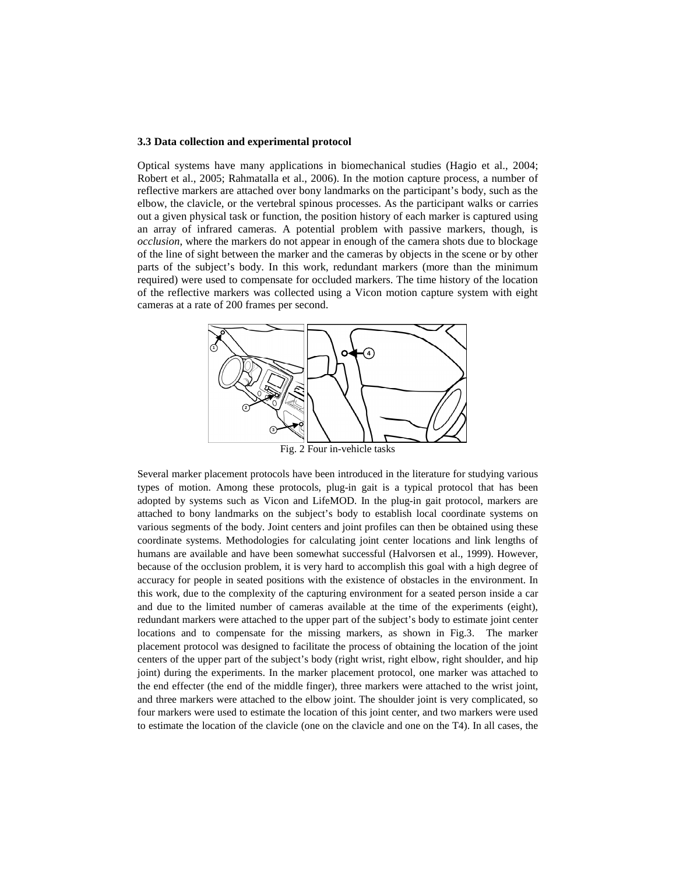#### **3.3 Data collection and experimental protocol**

Optical systems have many applications in biomechanical studies (Hagio et al., 2004; Robert et al., 2005; Rahmatalla et al., 2006). In the motion capture process, a number of reflective markers are attached over bony landmarks on the participant's body, such as the elbow, the clavicle, or the vertebral spinous processes. As the participant walks or carries out a given physical task or function, the position history of each marker is captured using an array of infrared cameras. A potential problem with passive markers, though, is *occlusion*, where the markers do not appear in enough of the camera shots due to blockage of the line of sight between the marker and the cameras by objects in the scene or by other parts of the subject's body. In this work, redundant markers (more than the minimum required) were used to compensate for occluded markers. The time history of the location of the reflective markers was collected using a Vicon motion capture system with eight cameras at a rate of 200 frames per second.



Several marker placement protocols have been introduced in the literature for studying various types of motion. Among these protocols, plug-in gait is a typical protocol that has been adopted by systems such as Vicon and LifeMOD. In the plug-in gait protocol, markers are attached to bony landmarks on the subject's body to establish local coordinate systems on various segments of the body. Joint centers and joint profiles can then be obtained using these coordinate systems. Methodologies for calculating joint center locations and link lengths of humans are available and have been somewhat successful (Halvorsen et al., 1999). However, because of the occlusion problem, it is very hard to accomplish this goal with a high degree of accuracy for people in seated positions with the existence of obstacles in the environment. In this work, due to the complexity of the capturing environment for a seated person inside a car and due to the limited number of cameras available at the time of the experiments (eight), redundant markers were attached to the upper part of the subject's body to estimate joint center locations and to compensate for the missing markers, as shown in Fig.3. The marker placement protocol was designed to facilitate the process of obtaining the location of the joint centers of the upper part of the subject's body (right wrist, right elbow, right shoulder, and hip joint) during the experiments. In the marker placement protocol, one marker was attached to the end effecter (the end of the middle finger), three markers were attached to the wrist joint, and three markers were attached to the elbow joint. The shoulder joint is very complicated, so four markers were used to estimate the location of this joint center, and two markers were used to estimate the location of the clavicle (one on the clavicle and one on the T4). In all cases, the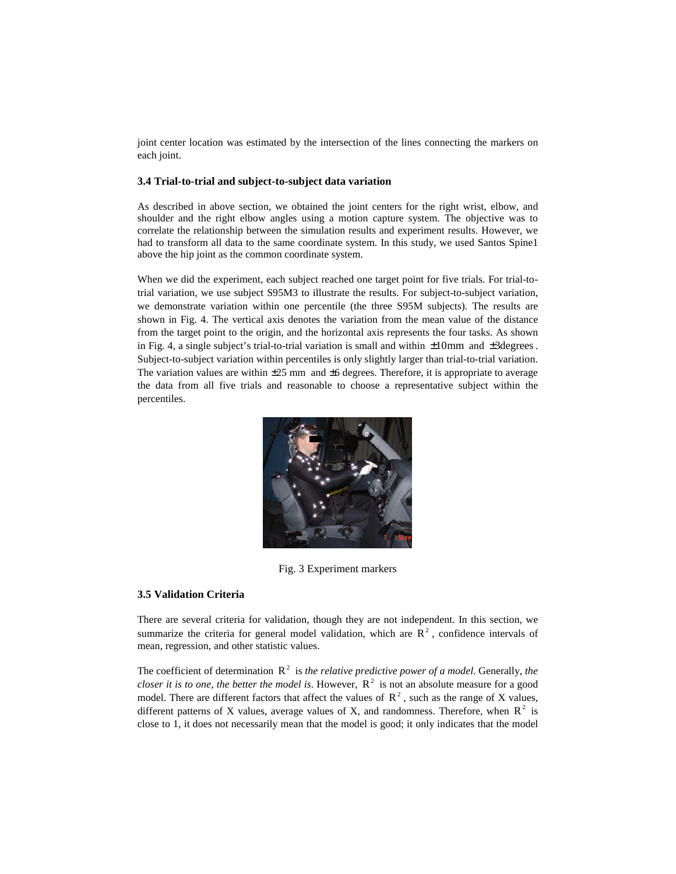joint center location was estimated by the intersection of the lines connecting the markers on each joint.

#### **3.4 Trial-to-trial and subject-to-subject data variation**

As described in above section, we obtained the joint centers for the right wrist, elbow, and shoulder and the right elbow angles using a motion capture system. The objective was to correlate the relationship between the simulation results and experiment results. However, we had to transform all data to the same coordinate system. In this study, we used Santos Spine1 above the hip joint as the common coordinate system.

When we did the experiment, each subject reached one target point for five trials. For trial-totrial variation, we use subject S95M3 to illustrate the results. For subject-to-subject variation, we demonstrate variation within one percentile (the three S95M subjects). The results are shown in Fig. 4. The vertical axis denotes the variation from the mean value of the distance from the target point to the origin, and the horizontal axis represents the four tasks. As shown in Fig. 4, a single subject's trial-to-trial variation is small and within  $\pm 10$ mm and  $\pm 3$ degrees. Subject-to-subject variation within percentiles is only slightly larger than trial-to-trial variation. The variation values are within  $\pm 25$  mm and  $\pm 6$  degrees. Therefore, it is appropriate to average the data from all five trials and reasonable to choose a representative subject within the percentiles.



Fig. 3 Experiment markers

### **3.5 Validation Criteria**

There are several criteria for validation, though they are not independent. In this section, we summarize the criteria for general model validation, which are  $R^2$ , confidence intervals of mean, regression, and other statistic values.

The coefficient of determination  $R^2$  is *the relative predictive power of a model*. Generally, *the closer it is to one, the better the model is.* However,  $R^2$  is not an absolute measure for a good model. There are different factors that affect the values of  $\mathbb{R}^2$ , such as the range of X values, different patterns of X values, average values of X, and randomness. Therefore, when  $R^2$  is close to 1, it does not necessarily mean that the model is good; it only indicates that the model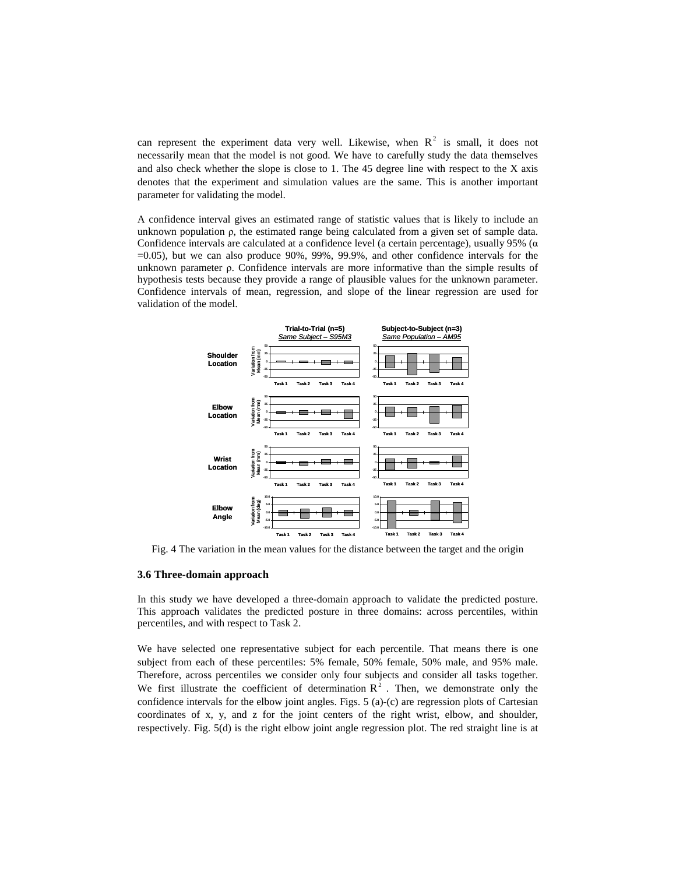can represent the experiment data very well. Likewise, when  $\mathbb{R}^2$  is small, it does not necessarily mean that the model is not good. We have to carefully study the data themselves and also check whether the slope is close to 1. The 45 degree line with respect to the X axis denotes that the experiment and simulation values are the same. This is another important parameter for validating the model.

A confidence interval gives an estimated range of statistic values that is likely to include an unknown population ρ, the estimated range being calculated from a given set of sample data. Confidence intervals are calculated at a confidence level (a certain percentage), usually 95% (α =0.05), but we can also produce 90%, 99%, 99.9%, and other confidence intervals for the unknown parameter ρ. Confidence intervals are more informative than the simple results of hypothesis tests because they provide a range of plausible values for the unknown parameter. Confidence intervals of mean, regression, and slope of the linear regression are used for validation of the model.



Fig. 4 The variation in the mean values for the distance between the target and the origin

#### **3.6 Three-domain approach**

In this study we have developed a three-domain approach to validate the predicted posture. This approach validates the predicted posture in three domains: across percentiles, within percentiles, and with respect to Task 2.

We have selected one representative subject for each percentile. That means there is one subject from each of these percentiles: 5% female, 50% female, 50% male, and 95% male. Therefore, across percentiles we consider only four subjects and consider all tasks together. We first illustrate the coefficient of determination  $R^2$ . Then, we demonstrate only the confidence intervals for the elbow joint angles. Figs. 5 (a)-(c) are regression plots of Cartesian coordinates of x, y, and z for the joint centers of the right wrist, elbow, and shoulder, respectively. Fig. 5(d) is the right elbow joint angle regression plot. The red straight line is at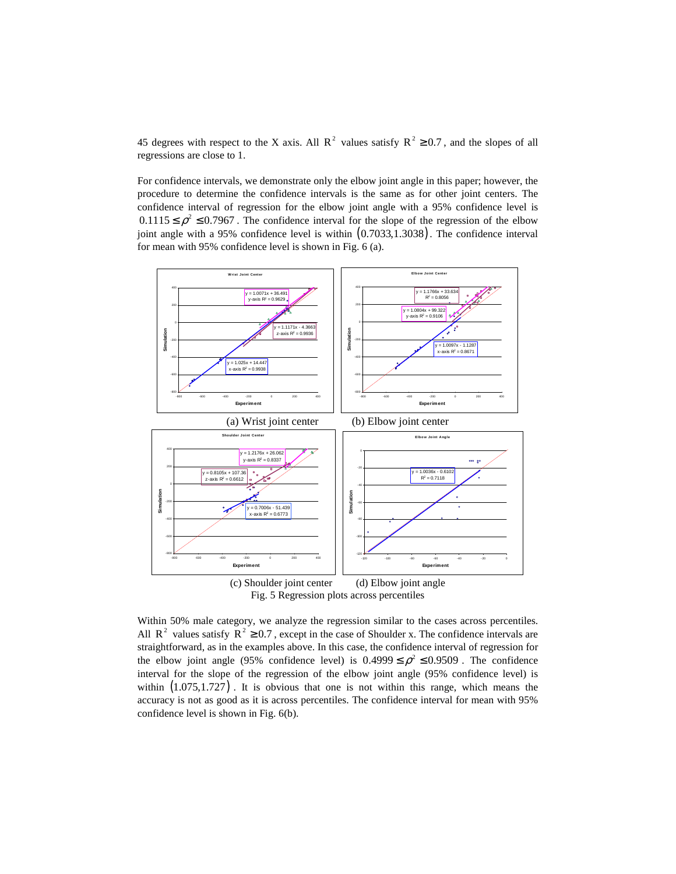45 degrees with respect to the X axis. All  $R^2$  values satisfy  $R^2 \ge 0.7$ , and the slopes of all regressions are close to 1.

For confidence intervals, we demonstrate only the elbow joint angle in this paper; however, the procedure to determine the confidence intervals is the same as for other joint centers. The confidence interval of regression for the elbow joint angle with a 95% confidence level is  $0.1115 \le \rho^2 \le 0.7967$ . The confidence interval for the slope of the regression of the elbow joint angle with a 95% confidence level is within (0.7033,1.3038) . The confidence interval for mean with 95% confidence level is shown in Fig. 6 (a).



Fig. 5 Regression plots across percentiles

Within 50% male category, we analyze the regression similar to the cases across percentiles. All  $R^2$  values satisfy  $R^2 \ge 0.7$ , except in the case of Shoulder x. The confidence intervals are straightforward, as in the examples above. In this case, the confidence interval of regression for the elbow joint angle (95% confidence level) is  $0.4999 \le \rho^2 \le 0.9509$ . The confidence interval for the slope of the regression of the elbow joint angle (95% confidence level) is within  $(1.075,1.727)$ . It is obvious that one is not within this range, which means the accuracy is not as good as it is across percentiles. The confidence interval for mean with 95% confidence level is shown in Fig. 6(b).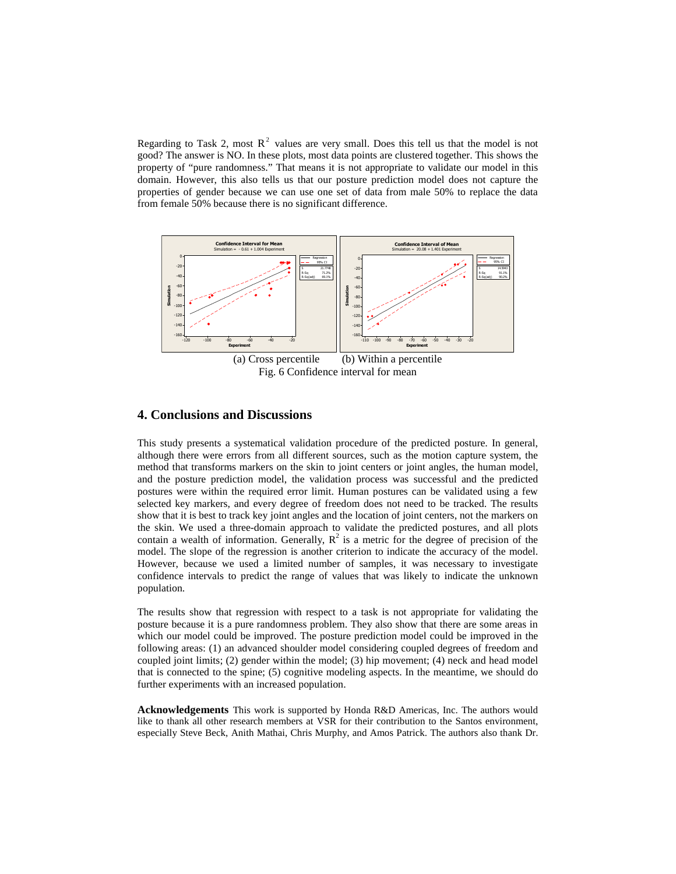Regarding to Task 2, most  $R^2$  values are very small. Does this tell us that the model is not good? The answer is NO. In these plots, most data points are clustered together. This shows the property of "pure randomness." That means it is not appropriate to validate our model in this domain. However, this also tells us that our posture prediction model does not capture the properties of gender because we can use one set of data from male 50% to replace the data from female 50% because there is no significant difference.



Fig. 6 Confidence interval for mean

### **4. Conclusions and Discussions**

This study presents a systematical validation procedure of the predicted posture. In general, although there were errors from all different sources, such as the motion capture system, the method that transforms markers on the skin to joint centers or joint angles, the human model, and the posture prediction model, the validation process was successful and the predicted postures were within the required error limit. Human postures can be validated using a few selected key markers, and every degree of freedom does not need to be tracked. The results show that it is best to track key joint angles and the location of joint centers, not the markers on the skin. We used a three-domain approach to validate the predicted postures, and all plots contain a wealth of information. Generally,  $R^2$  is a metric for the degree of precision of the model. The slope of the regression is another criterion to indicate the accuracy of the model. However, because we used a limited number of samples, it was necessary to investigate confidence intervals to predict the range of values that was likely to indicate the unknown population.

The results show that regression with respect to a task is not appropriate for validating the posture because it is a pure randomness problem. They also show that there are some areas in which our model could be improved. The posture prediction model could be improved in the following areas: (1) an advanced shoulder model considering coupled degrees of freedom and coupled joint limits; (2) gender within the model; (3) hip movement; (4) neck and head model that is connected to the spine; (5) cognitive modeling aspects. In the meantime, we should do further experiments with an increased population.

**Acknowledgements** This work is supported by Honda R&D Americas, Inc. The authors would like to thank all other research members at VSR for their contribution to the Santos environment, especially Steve Beck, Anith Mathai, Chris Murphy, and Amos Patrick. The authors also thank Dr.